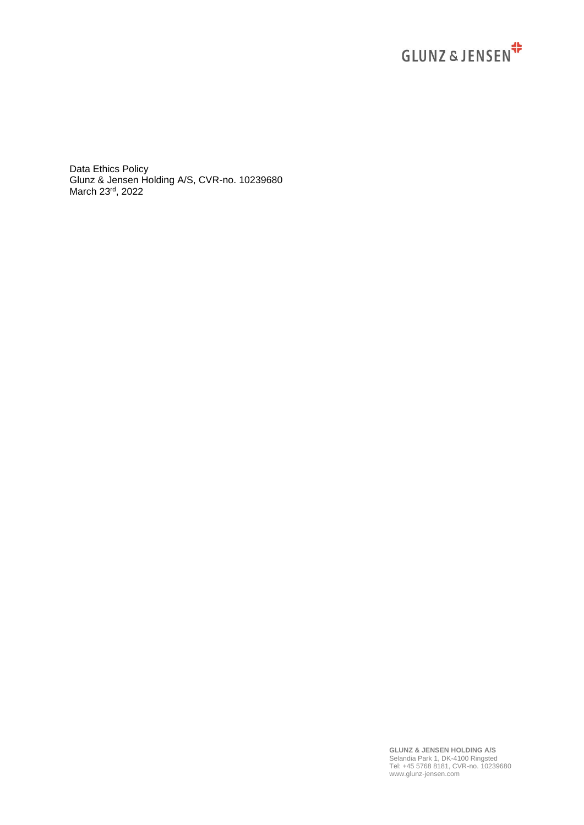

Data Ethics Policy Glunz & Jensen Holding A/S, CVR-no. 10239680 March 23rd, 2022

> **GLUNZ & JENSEN HOLDING A/S** Selandia Park 1, DK-4100 Ringsted Tel: +45 5768 8181, CVR-no. 10239680 www.glunz-jensen.com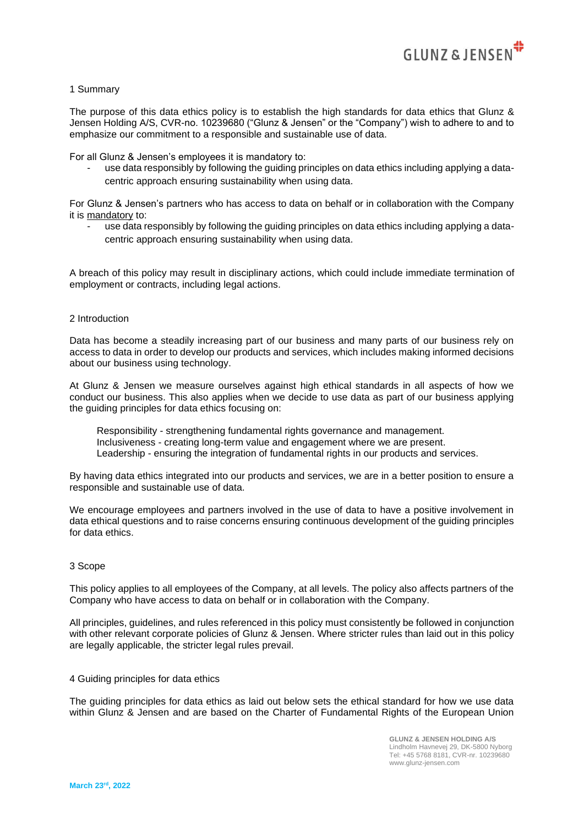

# 1 Summary

The purpose of this data ethics policy is to establish the high standards for data ethics that Glunz & Jensen Holding A/S, CVR-no. 10239680 ("Glunz & Jensen" or the "Company") wish to adhere to and to emphasize our commitment to a responsible and sustainable use of data.

For all Glunz & Jensen's employees it is mandatory to:

- use data responsibly by following the guiding principles on data ethics including applying a datacentric approach ensuring sustainability when using data.

For Glunz & Jensen's partners who has access to data on behalf or in collaboration with the Company it is mandatory to:

use data responsibly by following the guiding principles on data ethics including applying a datacentric approach ensuring sustainability when using data.

A breach of this policy may result in disciplinary actions, which could include immediate termination of employment or contracts, including legal actions.

## 2 Introduction

Data has become a steadily increasing part of our business and many parts of our business rely on access to data in order to develop our products and services, which includes making informed decisions about our business using technology.

At Glunz & Jensen we measure ourselves against high ethical standards in all aspects of how we conduct our business. This also applies when we decide to use data as part of our business applying the guiding principles for data ethics focusing on:

 Responsibility - strengthening fundamental rights governance and management. Inclusiveness - creating long-term value and engagement where we are present. Leadership - ensuring the integration of fundamental rights in our products and services.

By having data ethics integrated into our products and services, we are in a better position to ensure a responsible and sustainable use of data.

We encourage employees and partners involved in the use of data to have a positive involvement in data ethical questions and to raise concerns ensuring continuous development of the guiding principles for data ethics.

#### 3 Scope

This policy applies to all employees of the Company, at all levels. The policy also affects partners of the Company who have access to data on behalf or in collaboration with the Company.

All principles, guidelines, and rules referenced in this policy must consistently be followed in conjunction with other relevant corporate policies of Glunz & Jensen. Where stricter rules than laid out in this policy are legally applicable, the stricter legal rules prevail.

### 4 Guiding principles for data ethics

The guiding principles for data ethics as laid out below sets the ethical standard for how we use data within Glunz & Jensen and are based on the Charter of Fundamental Rights of the European Union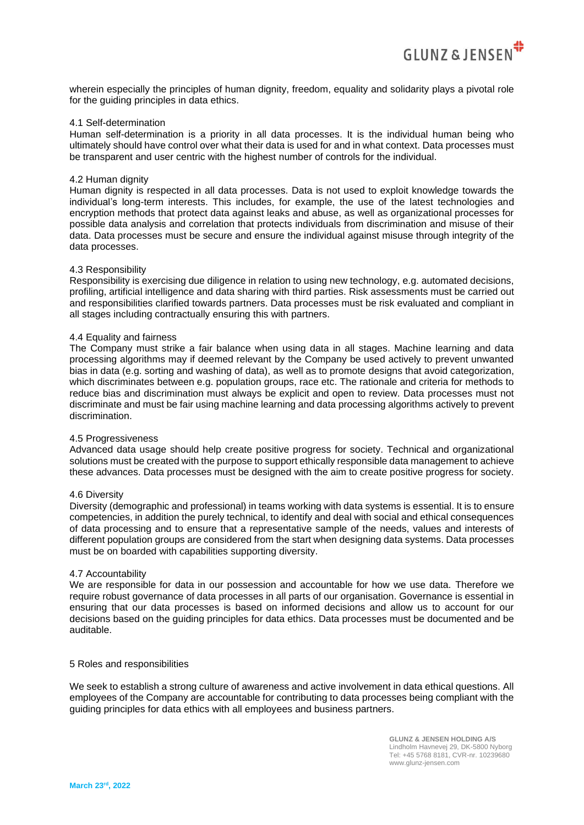

wherein especially the principles of human dignity, freedom, equality and solidarity plays a pivotal role for the guiding principles in data ethics.

# 4.1 Self-determination

Human self-determination is a priority in all data processes. It is the individual human being who ultimately should have control over what their data is used for and in what context. Data processes must be transparent and user centric with the highest number of controls for the individual.

## 4.2 Human dignity

Human dignity is respected in all data processes. Data is not used to exploit knowledge towards the individual's long-term interests. This includes, for example, the use of the latest technologies and encryption methods that protect data against leaks and abuse, as well as organizational processes for possible data analysis and correlation that protects individuals from discrimination and misuse of their data. Data processes must be secure and ensure the individual against misuse through integrity of the data processes.

## 4.3 Responsibility

Responsibility is exercising due diligence in relation to using new technology, e.g. automated decisions, profiling, artificial intelligence and data sharing with third parties. Risk assessments must be carried out and responsibilities clarified towards partners. Data processes must be risk evaluated and compliant in all stages including contractually ensuring this with partners.

## 4.4 Equality and fairness

The Company must strike a fair balance when using data in all stages. Machine learning and data processing algorithms may if deemed relevant by the Company be used actively to prevent unwanted bias in data (e.g. sorting and washing of data), as well as to promote designs that avoid categorization, which discriminates between e.g. population groups, race etc. The rationale and criteria for methods to reduce bias and discrimination must always be explicit and open to review. Data processes must not discriminate and must be fair using machine learning and data processing algorithms actively to prevent discrimination.

## 4.5 Progressiveness

Advanced data usage should help create positive progress for society. Technical and organizational solutions must be created with the purpose to support ethically responsible data management to achieve these advances. Data processes must be designed with the aim to create positive progress for society.

#### 4.6 Diversity

Diversity (demographic and professional) in teams working with data systems is essential. It is to ensure competencies, in addition the purely technical, to identify and deal with social and ethical consequences of data processing and to ensure that a representative sample of the needs, values and interests of different population groups are considered from the start when designing data systems. Data processes must be on boarded with capabilities supporting diversity.

#### 4.7 Accountability

We are responsible for data in our possession and accountable for how we use data. Therefore we require robust governance of data processes in all parts of our organisation. Governance is essential in ensuring that our data processes is based on informed decisions and allow us to account for our decisions based on the guiding principles for data ethics. Data processes must be documented and be auditable.

#### 5 Roles and responsibilities

We seek to establish a strong culture of awareness and active involvement in data ethical questions. All employees of the Company are accountable for contributing to data processes being compliant with the guiding principles for data ethics with all employees and business partners.

> **GLUNZ & JENSEN HOLDING A/S** Lindholm Havnevej 29, DK-5800 Nyborg Tel: +45 5768 8181, CVR-nr. 10239680 www.glunz-jensen.com